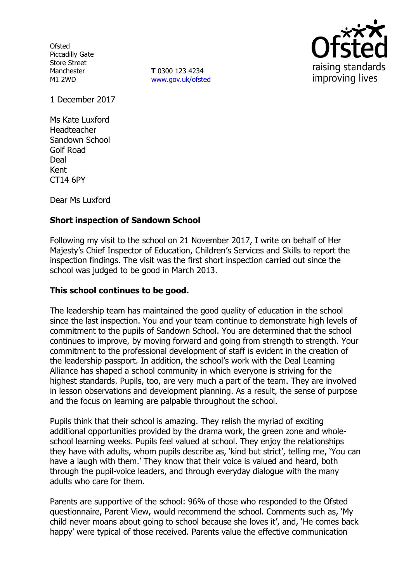**Ofsted** Piccadilly Gate Store Street Manchester M1 2WD

**T** 0300 123 4234 www.gov.uk/ofsted



1 December 2017

Ms Kate Luxford Headteacher Sandown School Golf Road Deal Kent CT14 6PY

Dear Ms Luxford

### **Short inspection of Sandown School**

Following my visit to the school on 21 November 2017, I write on behalf of Her Majesty's Chief Inspector of Education, Children's Services and Skills to report the inspection findings. The visit was the first short inspection carried out since the school was judged to be good in March 2013.

### **This school continues to be good.**

The leadership team has maintained the good quality of education in the school since the last inspection. You and your team continue to demonstrate high levels of commitment to the pupils of Sandown School. You are determined that the school continues to improve, by moving forward and going from strength to strength. Your commitment to the professional development of staff is evident in the creation of the leadership passport. In addition, the school's work with the Deal Learning Alliance has shaped a school community in which everyone is striving for the highest standards. Pupils, too, are very much a part of the team. They are involved in lesson observations and development planning. As a result, the sense of purpose and the focus on learning are palpable throughout the school.

Pupils think that their school is amazing. They relish the myriad of exciting additional opportunities provided by the drama work, the green zone and wholeschool learning weeks. Pupils feel valued at school. They enjoy the relationships they have with adults, whom pupils describe as, 'kind but strict', telling me, 'You can have a laugh with them.' They know that their voice is valued and heard, both through the pupil-voice leaders, and through everyday dialogue with the many adults who care for them.

Parents are supportive of the school: 96% of those who responded to the Ofsted questionnaire, Parent View, would recommend the school. Comments such as, 'My child never moans about going to school because she loves it', and, 'He comes back happy' were typical of those received. Parents value the effective communication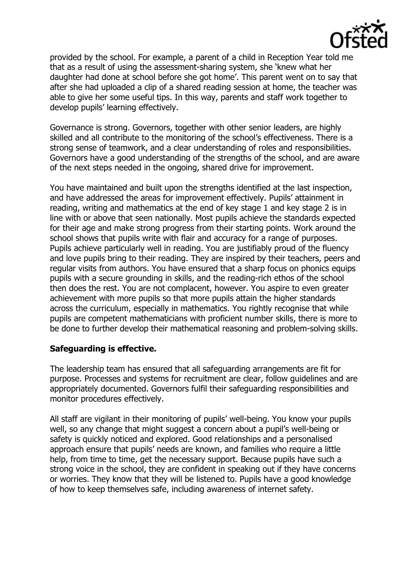

provided by the school. For example, a parent of a child in Reception Year told me that as a result of using the assessment-sharing system, she 'knew what her daughter had done at school before she got home'. This parent went on to say that after she had uploaded a clip of a shared reading session at home, the teacher was able to give her some useful tips. In this way, parents and staff work together to develop pupils' learning effectively.

Governance is strong. Governors, together with other senior leaders, are highly skilled and all contribute to the monitoring of the school's effectiveness. There is a strong sense of teamwork, and a clear understanding of roles and responsibilities. Governors have a good understanding of the strengths of the school, and are aware of the next steps needed in the ongoing, shared drive for improvement.

You have maintained and built upon the strengths identified at the last inspection, and have addressed the areas for improvement effectively. Pupils' attainment in reading, writing and mathematics at the end of key stage 1 and key stage 2 is in line with or above that seen nationally. Most pupils achieve the standards expected for their age and make strong progress from their starting points. Work around the school shows that pupils write with flair and accuracy for a range of purposes. Pupils achieve particularly well in reading. You are justifiably proud of the fluency and love pupils bring to their reading. They are inspired by their teachers, peers and regular visits from authors. You have ensured that a sharp focus on phonics equips pupils with a secure grounding in skills, and the reading-rich ethos of the school then does the rest. You are not complacent, however. You aspire to even greater achievement with more pupils so that more pupils attain the higher standards across the curriculum, especially in mathematics. You rightly recognise that while pupils are competent mathematicians with proficient number skills, there is more to be done to further develop their mathematical reasoning and problem-solving skills.

### **Safeguarding is effective.**

The leadership team has ensured that all safeguarding arrangements are fit for purpose. Processes and systems for recruitment are clear, follow guidelines and are appropriately documented. Governors fulfil their safeguarding responsibilities and monitor procedures effectively.

All staff are vigilant in their monitoring of pupils' well-being. You know your pupils well, so any change that might suggest a concern about a pupil's well-being or safety is quickly noticed and explored. Good relationships and a personalised approach ensure that pupils' needs are known, and families who require a little help, from time to time, get the necessary support. Because pupils have such a strong voice in the school, they are confident in speaking out if they have concerns or worries. They know that they will be listened to. Pupils have a good knowledge of how to keep themselves safe, including awareness of internet safety.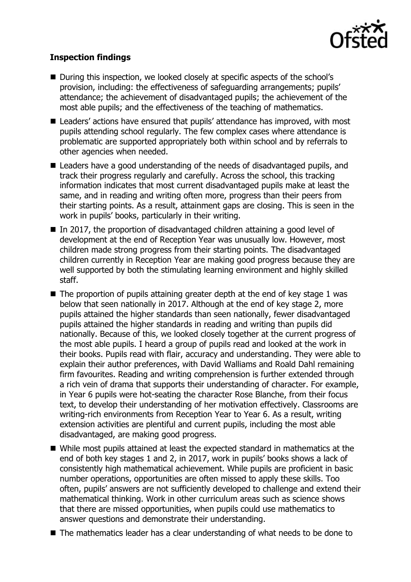

# **Inspection findings**

- During this inspection, we looked closely at specific aspects of the school's provision, including: the effectiveness of safeguarding arrangements; pupils' attendance; the achievement of disadvantaged pupils; the achievement of the most able pupils; and the effectiveness of the teaching of mathematics.
- Leaders' actions have ensured that pupils' attendance has improved, with most pupils attending school regularly. The few complex cases where attendance is problematic are supported appropriately both within school and by referrals to other agencies when needed.
- Leaders have a good understanding of the needs of disadvantaged pupils, and track their progress regularly and carefully. Across the school, this tracking information indicates that most current disadvantaged pupils make at least the same, and in reading and writing often more, progress than their peers from their starting points. As a result, attainment gaps are closing. This is seen in the work in pupils' books, particularly in their writing.
- In 2017, the proportion of disadvantaged children attaining a good level of development at the end of Reception Year was unusually low. However, most children made strong progress from their starting points. The disadvantaged children currently in Reception Year are making good progress because they are well supported by both the stimulating learning environment and highly skilled staff.
- $\blacksquare$  The proportion of pupils attaining greater depth at the end of key stage 1 was below that seen nationally in 2017. Although at the end of key stage 2, more pupils attained the higher standards than seen nationally, fewer disadvantaged pupils attained the higher standards in reading and writing than pupils did nationally. Because of this, we looked closely together at the current progress of the most able pupils. I heard a group of pupils read and looked at the work in their books. Pupils read with flair, accuracy and understanding. They were able to explain their author preferences, with David Walliams and Roald Dahl remaining firm favourites. Reading and writing comprehension is further extended through a rich vein of drama that supports their understanding of character. For example, in Year 6 pupils were hot-seating the character Rose Blanche, from their focus text, to develop their understanding of her motivation effectively. Classrooms are writing-rich environments from Reception Year to Year 6. As a result, writing extension activities are plentiful and current pupils, including the most able disadvantaged, are making good progress.
- While most pupils attained at least the expected standard in mathematics at the end of both key stages 1 and 2, in 2017, work in pupils' books shows a lack of consistently high mathematical achievement. While pupils are proficient in basic number operations, opportunities are often missed to apply these skills. Too often, pupils' answers are not sufficiently developed to challenge and extend their mathematical thinking. Work in other curriculum areas such as science shows that there are missed opportunities, when pupils could use mathematics to answer questions and demonstrate their understanding.
- The mathematics leader has a clear understanding of what needs to be done to